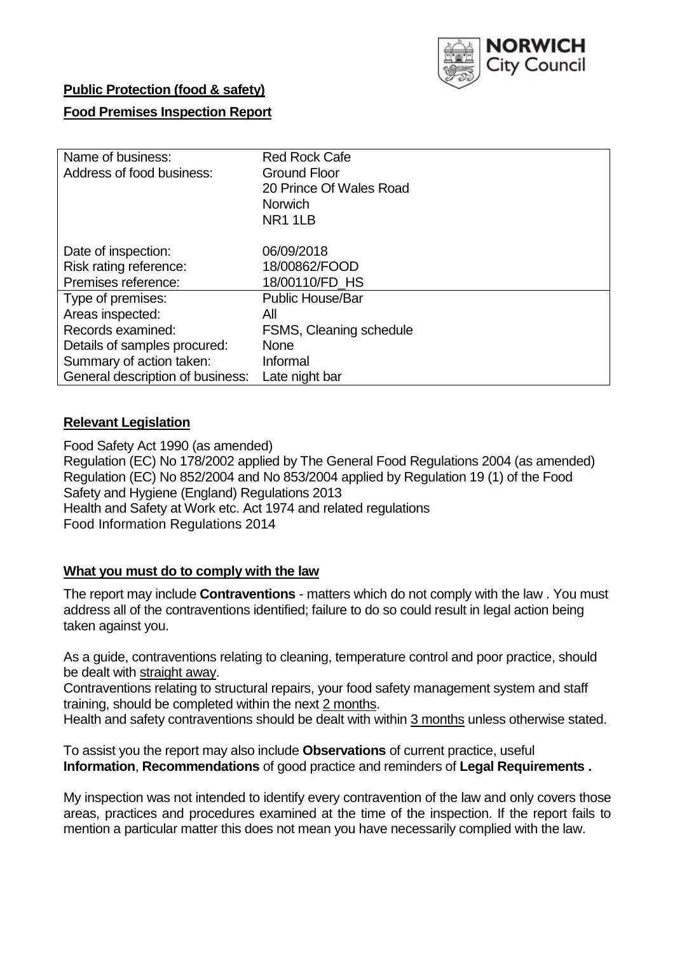

# **Public Protection (food & safety)**

# **Food Premises Inspection Report**

| Name of business:                | <b>Red Rock Cafe</b>    |  |  |  |  |
|----------------------------------|-------------------------|--|--|--|--|
| Address of food business:        | <b>Ground Floor</b>     |  |  |  |  |
|                                  | 20 Prince Of Wales Road |  |  |  |  |
|                                  | <b>Norwich</b>          |  |  |  |  |
|                                  | NR1 1LB                 |  |  |  |  |
| Date of inspection:              | 06/09/2018              |  |  |  |  |
| Risk rating reference:           | 18/00862/FOOD           |  |  |  |  |
| Premises reference:              | 18/00110/FD HS          |  |  |  |  |
|                                  |                         |  |  |  |  |
| Type of premises:                | <b>Public House/Bar</b> |  |  |  |  |
| Areas inspected:                 | All                     |  |  |  |  |
| Records examined:                | FSMS, Cleaning schedule |  |  |  |  |
| Details of samples procured:     | <b>None</b>             |  |  |  |  |
| Summary of action taken:         | Informal                |  |  |  |  |
| General description of business: | Late night bar          |  |  |  |  |

## **Relevant Legislation**

Food Safety Act 1990 (as amended) Regulation (EC) No 178/2002 applied by The General Food Regulations 2004 (as amended) Regulation (EC) No 852/2004 and No 853/2004 applied by Regulation 19 (1) of the Food Safety and Hygiene (England) Regulations 2013 Health and Safety at Work etc. Act 1974 and related regulations Food Information Regulations 2014

## **What you must do to comply with the law**

The report may include **Contraventions** - matters which do not comply with the law . You must address all of the contraventions identified; failure to do so could result in legal action being taken against you.

As a guide, contraventions relating to cleaning, temperature control and poor practice, should be dealt with straight away.

Contraventions relating to structural repairs, your food safety management system and staff training, should be completed within the next 2 months.

Health and safety contraventions should be dealt with within 3 months unless otherwise stated.

To assist you the report may also include **Observations** of current practice, useful **Information**, **Recommendations** of good practice and reminders of **Legal Requirements .**

My inspection was not intended to identify every contravention of the law and only covers those areas, practices and procedures examined at the time of the inspection. If the report fails to mention a particular matter this does not mean you have necessarily complied with the law.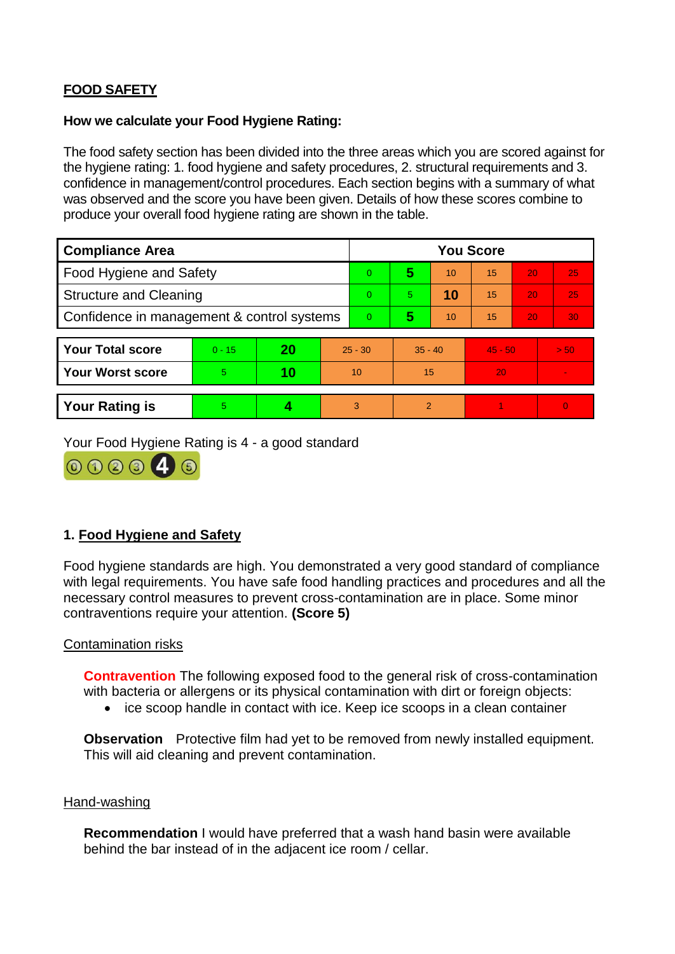# **FOOD SAFETY**

#### **How we calculate your Food Hygiene Rating:**

The food safety section has been divided into the three areas which you are scored against for the hygiene rating: 1. food hygiene and safety procedures, 2. structural requirements and 3. confidence in management/control procedures. Each section begins with a summary of what was observed and the score you have been given. Details of how these scores combine to produce your overall food hygiene rating are shown in the table.

| <b>Compliance Area</b>                     |          |    |           | <b>You Score</b> |                |    |           |    |                |  |  |
|--------------------------------------------|----------|----|-----------|------------------|----------------|----|-----------|----|----------------|--|--|
| Food Hygiene and Safety                    |          |    |           | $\Omega$         | 5              | 10 | 15        | 20 | 25             |  |  |
| <b>Structure and Cleaning</b>              |          |    |           | $\Omega$         | 5.             | 10 | 15        | 20 | 25             |  |  |
| Confidence in management & control systems |          |    | $\Omega$  | 5                | 10             | 15 | 20        | 30 |                |  |  |
|                                            |          |    |           |                  |                |    |           |    |                |  |  |
| <b>Your Total score</b>                    | $0 - 15$ | 20 | $25 - 30$ |                  | $35 - 40$      |    | $45 - 50$ |    | > 50           |  |  |
| <b>Your Worst score</b>                    | 5        | 10 | 10        |                  | 15             |    | 20        |    | $\blacksquare$ |  |  |
|                                            |          |    |           |                  |                |    |           |    |                |  |  |
| <b>Your Rating is</b>                      | 5        |    |           | 3                | $\overline{2}$ |    |           |    | $\Omega$       |  |  |

Your Food Hygiene Rating is 4 - a good standard



# **1. Food Hygiene and Safety**

Food hygiene standards are high. You demonstrated a very good standard of compliance with legal requirements. You have safe food handling practices and procedures and all the necessary control measures to prevent cross-contamination are in place. Some minor contraventions require your attention. **(Score 5)**

## Contamination risks

**Contravention** The following exposed food to the general risk of cross-contamination with bacteria or allergens or its physical contamination with dirt or foreign objects:

• ice scoop handle in contact with ice. Keep ice scoops in a clean container

**Observation** Protective film had yet to be removed from newly installed equipment. This will aid cleaning and prevent contamination.

#### Hand-washing

**Recommendation** I would have preferred that a wash hand basin were available behind the bar instead of in the adjacent ice room / cellar.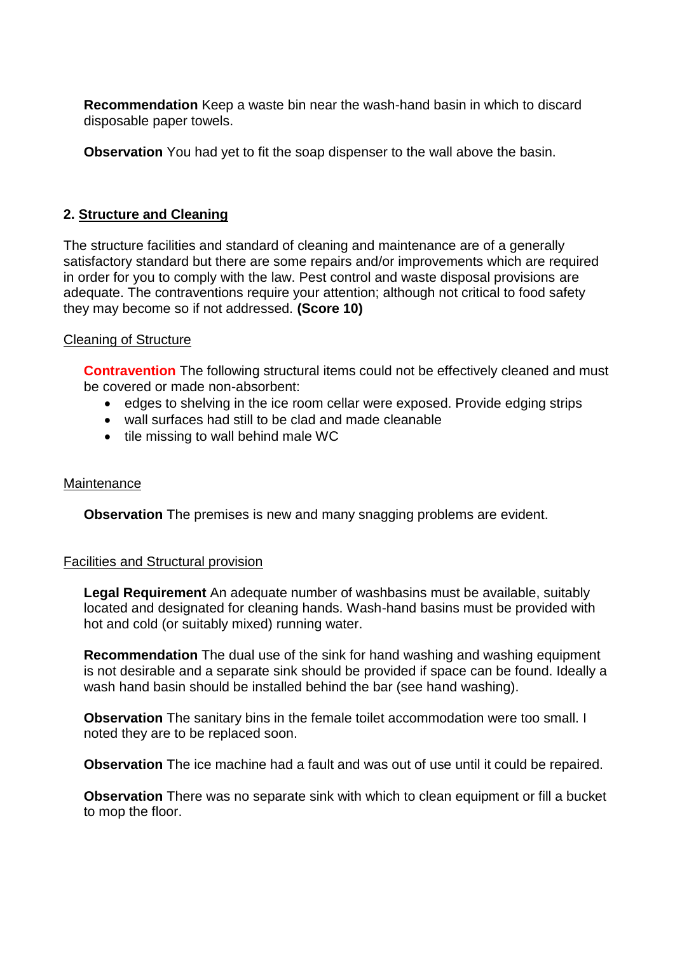**Recommendation** Keep a waste bin near the wash-hand basin in which to discard disposable paper towels.

**Observation** You had yet to fit the soap dispenser to the wall above the basin.

# **2. Structure and Cleaning**

The structure facilities and standard of cleaning and maintenance are of a generally satisfactory standard but there are some repairs and/or improvements which are required in order for you to comply with the law. Pest control and waste disposal provisions are adequate. The contraventions require your attention; although not critical to food safety they may become so if not addressed. **(Score 10)**

## Cleaning of Structure

**Contravention** The following structural items could not be effectively cleaned and must be covered or made non-absorbent:

- edges to shelving in the ice room cellar were exposed. Provide edging strips
- wall surfaces had still to be clad and made cleanable
- tile missing to wall behind male WC

## **Maintenance**

**Observation** The premises is new and many snagging problems are evident.

## Facilities and Structural provision

**Legal Requirement** An adequate number of washbasins must be available, suitably located and designated for cleaning hands. Wash-hand basins must be provided with hot and cold (or suitably mixed) running water.

**Recommendation** The dual use of the sink for hand washing and washing equipment is not desirable and a separate sink should be provided if space can be found. Ideally a wash hand basin should be installed behind the bar (see hand washing).

**Observation** The sanitary bins in the female toilet accommodation were too small. I noted they are to be replaced soon.

**Observation** The ice machine had a fault and was out of use until it could be repaired.

**Observation** There was no separate sink with which to clean equipment or fill a bucket to mop the floor.